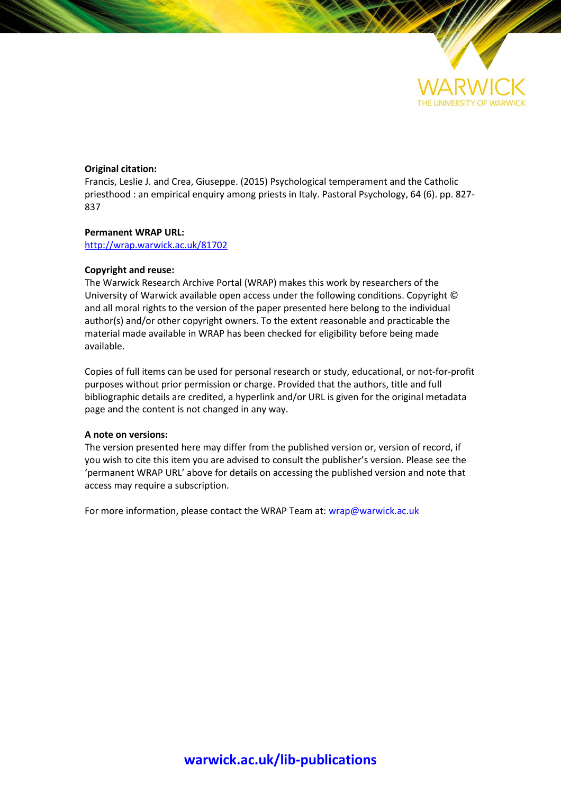

## **Original citation:**

Francis, Leslie J. and Crea, Giuseppe. (2015) Psychological temperament and the Catholic priesthood : an empirical enquiry among priests in Italy. Pastoral Psychology, 64 (6). pp. 827- 837

#### **Permanent WRAP URL:**

<http://wrap.warwick.ac.uk/81702>

## **Copyright and reuse:**

The Warwick Research Archive Portal (WRAP) makes this work by researchers of the University of Warwick available open access under the following conditions. Copyright © and all moral rights to the version of the paper presented here belong to the individual author(s) and/or other copyright owners. To the extent reasonable and practicable the material made available in WRAP has been checked for eligibility before being made available.

Copies of full items can be used for personal research or study, educational, or not-for-profit purposes without prior permission or charge. Provided that the authors, title and full bibliographic details are credited, a hyperlink and/or URL is given for the original metadata page and the content is not changed in any way.

#### **A note on versions:**

The version presented here may differ from the published version or, version of record, if you wish to cite this item you are advised to consult the publisher's version. Please see the 'permanent WRAP URL' above for details on accessing the published version and note that access may require a subscription.

For more information, please contact the WRAP Team at[: wrap@warwick.ac.uk](mailto:wrap@warwick.ac.uk)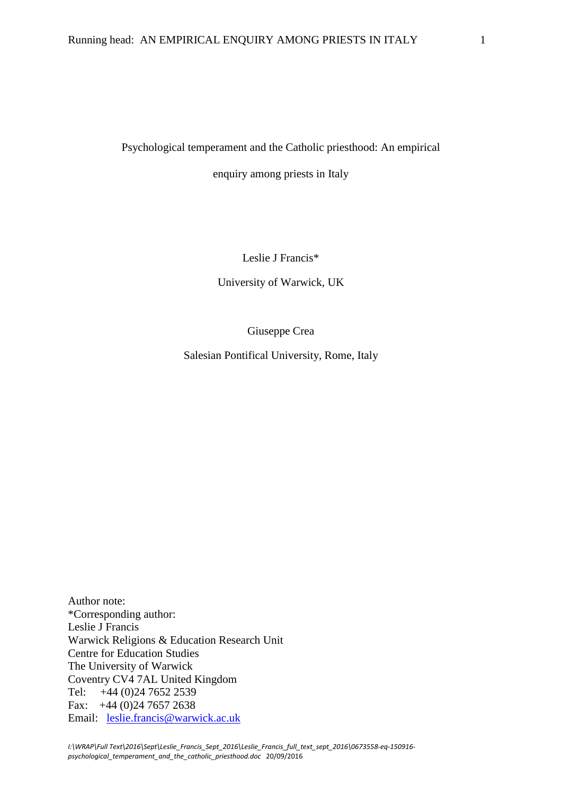Psychological temperament and the Catholic priesthood: An empirical enquiry among priests in Italy

Leslie J Francis\*

University of Warwick, UK

Giuseppe Crea

Salesian Pontifical University, Rome, Italy

Author note: \*Corresponding author: Leslie J Francis Warwick Religions & Education Research Unit Centre for Education Studies The University of Warwick Coventry CV4 7AL United Kingdom Tel: +44 (0)24 7652 2539 Fax: +44 (0)24 7657 2638 Email: [leslie.francis@warwick.ac.uk](mailto:leslie.francis@warwick.ac.uk)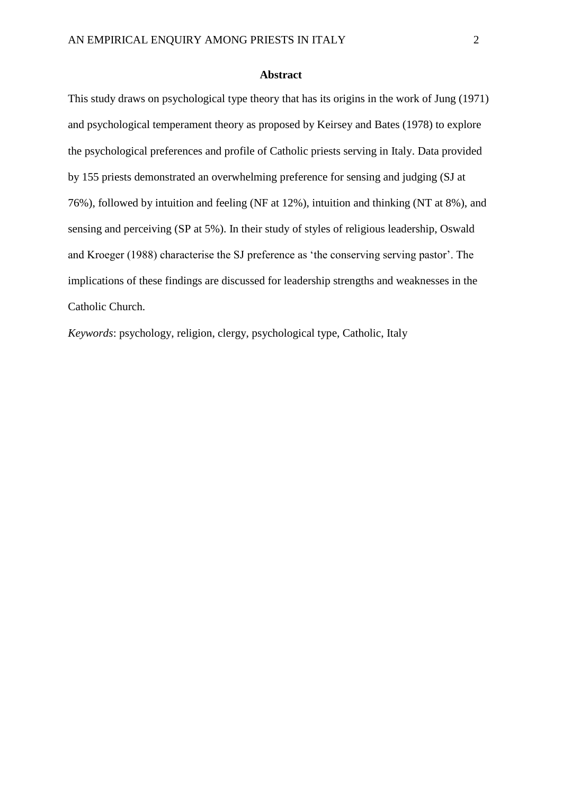### **Abstract**

This study draws on psychological type theory that has its origins in the work of Jung (1971) and psychological temperament theory as proposed by Keirsey and Bates (1978) to explore the psychological preferences and profile of Catholic priests serving in Italy. Data provided by 155 priests demonstrated an overwhelming preference for sensing and judging (SJ at 76%), followed by intuition and feeling (NF at 12%), intuition and thinking (NT at 8%), and sensing and perceiving (SP at 5%). In their study of styles of religious leadership, Oswald and Kroeger (1988) characterise the SJ preference as 'the conserving serving pastor'. The implications of these findings are discussed for leadership strengths and weaknesses in the Catholic Church.

*Keywords*: psychology, religion, clergy, psychological type, Catholic, Italy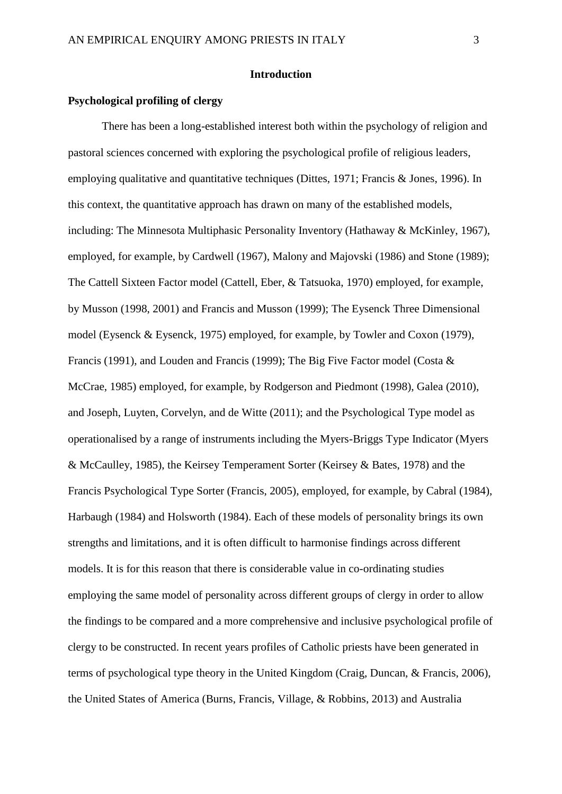#### **Introduction**

## **Psychological profiling of clergy**

There has been a long-established interest both within the psychology of religion and pastoral sciences concerned with exploring the psychological profile of religious leaders, employing qualitative and quantitative techniques (Dittes, 1971; Francis & Jones, 1996). In this context, the quantitative approach has drawn on many of the established models, including: The Minnesota Multiphasic Personality Inventory (Hathaway & McKinley, 1967), employed, for example, by Cardwell (1967), Malony and Majovski (1986) and Stone (1989); The Cattell Sixteen Factor model (Cattell, Eber, & Tatsuoka, 1970) employed, for example, by Musson (1998, 2001) and Francis and Musson (1999); The Eysenck Three Dimensional model (Eysenck & Eysenck, 1975) employed, for example, by Towler and Coxon (1979), Francis (1991), and Louden and Francis (1999); The Big Five Factor model (Costa & McCrae, 1985) employed, for example, by Rodgerson and Piedmont (1998), Galea (2010), and Joseph, Luyten, Corvelyn, and de Witte (2011); and the Psychological Type model as operationalised by a range of instruments including the Myers-Briggs Type Indicator (Myers & McCaulley, 1985), the Keirsey Temperament Sorter (Keirsey & Bates, 1978) and the Francis Psychological Type Sorter (Francis, 2005), employed, for example, by Cabral (1984), Harbaugh (1984) and Holsworth (1984). Each of these models of personality brings its own strengths and limitations, and it is often difficult to harmonise findings across different models. It is for this reason that there is considerable value in co-ordinating studies employing the same model of personality across different groups of clergy in order to allow the findings to be compared and a more comprehensive and inclusive psychological profile of clergy to be constructed. In recent years profiles of Catholic priests have been generated in terms of psychological type theory in the United Kingdom (Craig, Duncan, & Francis, 2006), the United States of America (Burns, Francis, Village, & Robbins, 2013) and Australia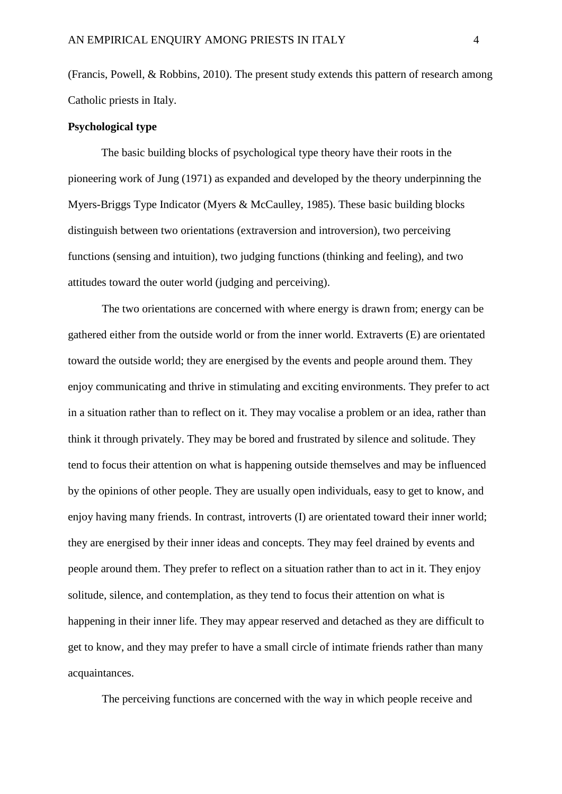(Francis, Powell, & Robbins, 2010). The present study extends this pattern of research among Catholic priests in Italy.

## **Psychological type**

The basic building blocks of psychological type theory have their roots in the pioneering work of Jung (1971) as expanded and developed by the theory underpinning the Myers-Briggs Type Indicator (Myers & McCaulley, 1985). These basic building blocks distinguish between two orientations (extraversion and introversion), two perceiving functions (sensing and intuition), two judging functions (thinking and feeling), and two attitudes toward the outer world (judging and perceiving).

The two orientations are concerned with where energy is drawn from; energy can be gathered either from the outside world or from the inner world. Extraverts (E) are orientated toward the outside world; they are energised by the events and people around them. They enjoy communicating and thrive in stimulating and exciting environments. They prefer to act in a situation rather than to reflect on it. They may vocalise a problem or an idea, rather than think it through privately. They may be bored and frustrated by silence and solitude. They tend to focus their attention on what is happening outside themselves and may be influenced by the opinions of other people. They are usually open individuals, easy to get to know, and enjoy having many friends. In contrast, introverts (I) are orientated toward their inner world; they are energised by their inner ideas and concepts. They may feel drained by events and people around them. They prefer to reflect on a situation rather than to act in it. They enjoy solitude, silence, and contemplation, as they tend to focus their attention on what is happening in their inner life. They may appear reserved and detached as they are difficult to get to know, and they may prefer to have a small circle of intimate friends rather than many acquaintances.

The perceiving functions are concerned with the way in which people receive and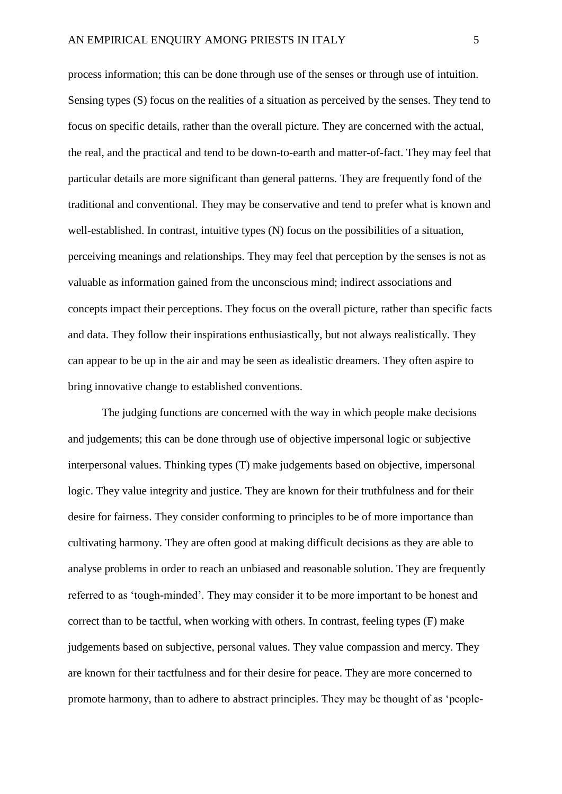process information; this can be done through use of the senses or through use of intuition. Sensing types (S) focus on the realities of a situation as perceived by the senses. They tend to focus on specific details, rather than the overall picture. They are concerned with the actual, the real, and the practical and tend to be down-to-earth and matter-of-fact. They may feel that particular details are more significant than general patterns. They are frequently fond of the traditional and conventional. They may be conservative and tend to prefer what is known and well-established. In contrast, intuitive types (N) focus on the possibilities of a situation, perceiving meanings and relationships. They may feel that perception by the senses is not as valuable as information gained from the unconscious mind; indirect associations and concepts impact their perceptions. They focus on the overall picture, rather than specific facts and data. They follow their inspirations enthusiastically, but not always realistically. They can appear to be up in the air and may be seen as idealistic dreamers. They often aspire to bring innovative change to established conventions.

The judging functions are concerned with the way in which people make decisions and judgements; this can be done through use of objective impersonal logic or subjective interpersonal values. Thinking types (T) make judgements based on objective, impersonal logic. They value integrity and justice. They are known for their truthfulness and for their desire for fairness. They consider conforming to principles to be of more importance than cultivating harmony. They are often good at making difficult decisions as they are able to analyse problems in order to reach an unbiased and reasonable solution. They are frequently referred to as 'tough-minded'. They may consider it to be more important to be honest and correct than to be tactful, when working with others. In contrast, feeling types (F) make judgements based on subjective, personal values. They value compassion and mercy. They are known for their tactfulness and for their desire for peace. They are more concerned to promote harmony, than to adhere to abstract principles. They may be thought of as 'people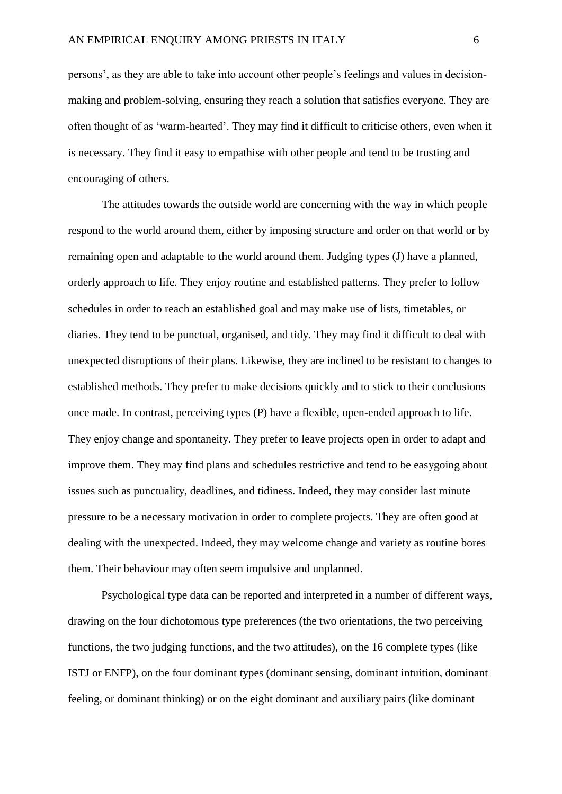persons', as they are able to take into account other people's feelings and values in decisionmaking and problem-solving, ensuring they reach a solution that satisfies everyone. They are often thought of as 'warm-hearted'. They may find it difficult to criticise others, even when it is necessary. They find it easy to empathise with other people and tend to be trusting and encouraging of others.

The attitudes towards the outside world are concerning with the way in which people respond to the world around them, either by imposing structure and order on that world or by remaining open and adaptable to the world around them. Judging types (J) have a planned, orderly approach to life. They enjoy routine and established patterns. They prefer to follow schedules in order to reach an established goal and may make use of lists, timetables, or diaries. They tend to be punctual, organised, and tidy. They may find it difficult to deal with unexpected disruptions of their plans. Likewise, they are inclined to be resistant to changes to established methods. They prefer to make decisions quickly and to stick to their conclusions once made. In contrast, perceiving types (P) have a flexible, open-ended approach to life. They enjoy change and spontaneity. They prefer to leave projects open in order to adapt and improve them. They may find plans and schedules restrictive and tend to be easygoing about issues such as punctuality, deadlines, and tidiness. Indeed, they may consider last minute pressure to be a necessary motivation in order to complete projects. They are often good at dealing with the unexpected. Indeed, they may welcome change and variety as routine bores them. Their behaviour may often seem impulsive and unplanned.

Psychological type data can be reported and interpreted in a number of different ways, drawing on the four dichotomous type preferences (the two orientations, the two perceiving functions, the two judging functions, and the two attitudes), on the 16 complete types (like ISTJ or ENFP), on the four dominant types (dominant sensing, dominant intuition, dominant feeling, or dominant thinking) or on the eight dominant and auxiliary pairs (like dominant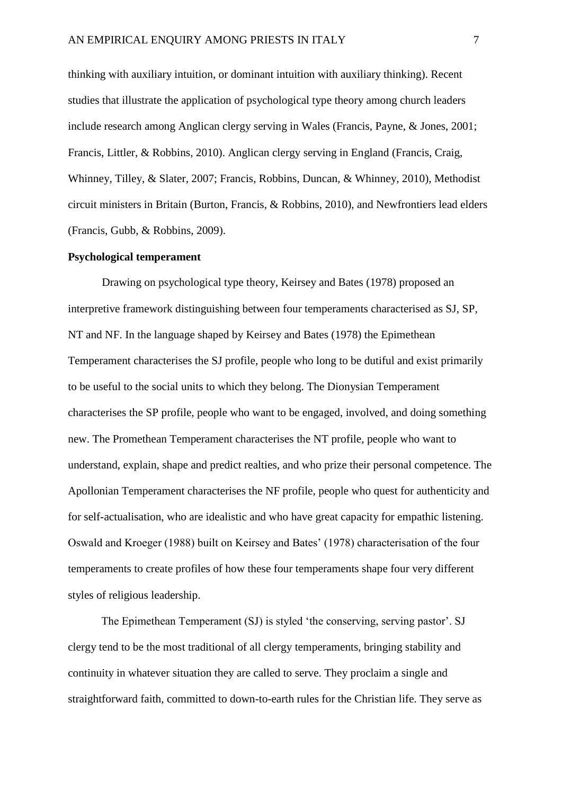thinking with auxiliary intuition, or dominant intuition with auxiliary thinking). Recent studies that illustrate the application of psychological type theory among church leaders include research among Anglican clergy serving in Wales (Francis, Payne, & Jones, 2001; Francis, Littler, & Robbins, 2010). Anglican clergy serving in England (Francis, Craig, Whinney, Tilley, & Slater, 2007; Francis, Robbins, Duncan, & Whinney, 2010), Methodist circuit ministers in Britain (Burton, Francis, & Robbins, 2010), and Newfrontiers lead elders (Francis, Gubb, & Robbins, 2009).

## **Psychological temperament**

Drawing on psychological type theory, Keirsey and Bates (1978) proposed an interpretive framework distinguishing between four temperaments characterised as SJ, SP, NT and NF. In the language shaped by Keirsey and Bates (1978) the Epimethean Temperament characterises the SJ profile, people who long to be dutiful and exist primarily to be useful to the social units to which they belong. The Dionysian Temperament characterises the SP profile, people who want to be engaged, involved, and doing something new. The Promethean Temperament characterises the NT profile, people who want to understand, explain, shape and predict realties, and who prize their personal competence. The Apollonian Temperament characterises the NF profile, people who quest for authenticity and for self-actualisation, who are idealistic and who have great capacity for empathic listening. Oswald and Kroeger (1988) built on Keirsey and Bates' (1978) characterisation of the four temperaments to create profiles of how these four temperaments shape four very different styles of religious leadership.

The Epimethean Temperament (SJ) is styled 'the conserving, serving pastor'. SJ clergy tend to be the most traditional of all clergy temperaments, bringing stability and continuity in whatever situation they are called to serve. They proclaim a single and straightforward faith, committed to down-to-earth rules for the Christian life. They serve as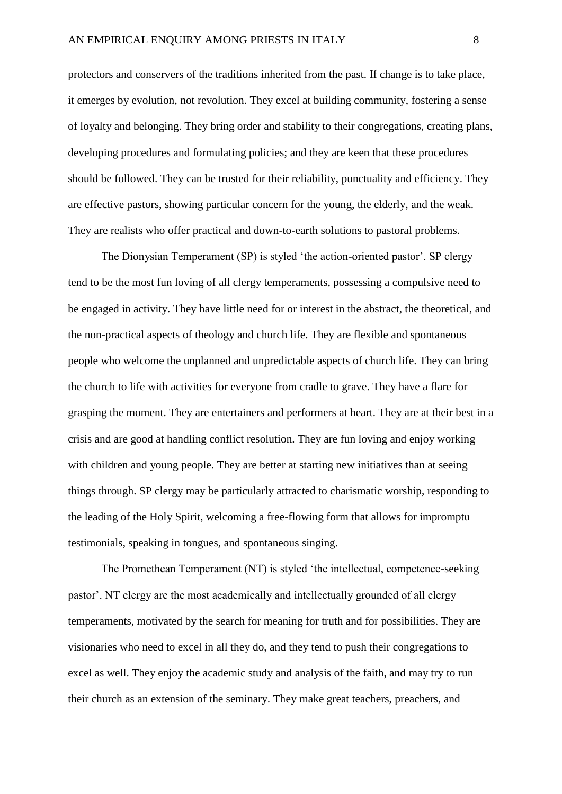protectors and conservers of the traditions inherited from the past. If change is to take place, it emerges by evolution, not revolution. They excel at building community, fostering a sense of loyalty and belonging. They bring order and stability to their congregations, creating plans, developing procedures and formulating policies; and they are keen that these procedures should be followed. They can be trusted for their reliability, punctuality and efficiency. They are effective pastors, showing particular concern for the young, the elderly, and the weak. They are realists who offer practical and down-to-earth solutions to pastoral problems.

The Dionysian Temperament (SP) is styled 'the action-oriented pastor'. SP clergy tend to be the most fun loving of all clergy temperaments, possessing a compulsive need to be engaged in activity. They have little need for or interest in the abstract, the theoretical, and the non-practical aspects of theology and church life. They are flexible and spontaneous people who welcome the unplanned and unpredictable aspects of church life. They can bring the church to life with activities for everyone from cradle to grave. They have a flare for grasping the moment. They are entertainers and performers at heart. They are at their best in a crisis and are good at handling conflict resolution. They are fun loving and enjoy working with children and young people. They are better at starting new initiatives than at seeing things through. SP clergy may be particularly attracted to charismatic worship, responding to the leading of the Holy Spirit, welcoming a free-flowing form that allows for impromptu testimonials, speaking in tongues, and spontaneous singing.

The Promethean Temperament (NT) is styled 'the intellectual, competence-seeking pastor'. NT clergy are the most academically and intellectually grounded of all clergy temperaments, motivated by the search for meaning for truth and for possibilities. They are visionaries who need to excel in all they do, and they tend to push their congregations to excel as well. They enjoy the academic study and analysis of the faith, and may try to run their church as an extension of the seminary. They make great teachers, preachers, and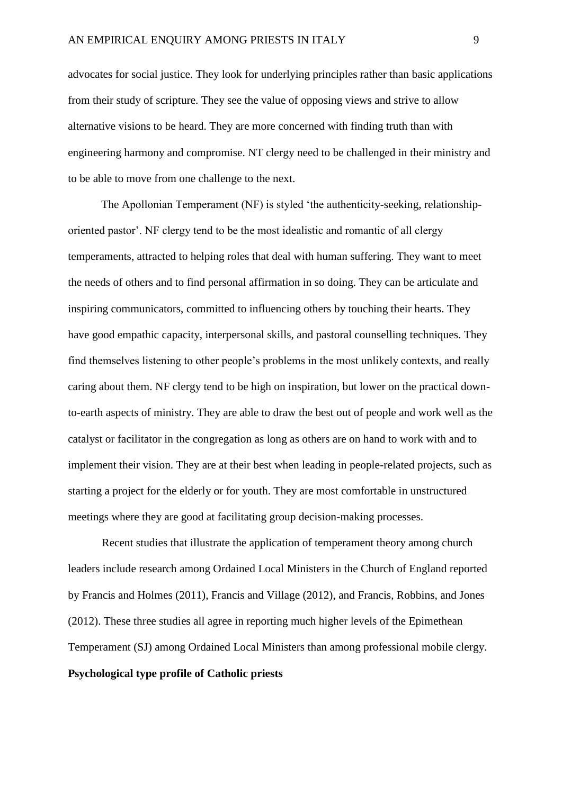advocates for social justice. They look for underlying principles rather than basic applications from their study of scripture. They see the value of opposing views and strive to allow alternative visions to be heard. They are more concerned with finding truth than with engineering harmony and compromise. NT clergy need to be challenged in their ministry and to be able to move from one challenge to the next.

The Apollonian Temperament (NF) is styled 'the authenticity-seeking, relationshiporiented pastor'. NF clergy tend to be the most idealistic and romantic of all clergy temperaments, attracted to helping roles that deal with human suffering. They want to meet the needs of others and to find personal affirmation in so doing. They can be articulate and inspiring communicators, committed to influencing others by touching their hearts. They have good empathic capacity, interpersonal skills, and pastoral counselling techniques. They find themselves listening to other people's problems in the most unlikely contexts, and really caring about them. NF clergy tend to be high on inspiration, but lower on the practical downto-earth aspects of ministry. They are able to draw the best out of people and work well as the catalyst or facilitator in the congregation as long as others are on hand to work with and to implement their vision. They are at their best when leading in people-related projects, such as starting a project for the elderly or for youth. They are most comfortable in unstructured meetings where they are good at facilitating group decision-making processes.

Recent studies that illustrate the application of temperament theory among church leaders include research among Ordained Local Ministers in the Church of England reported by Francis and Holmes (2011), Francis and Village (2012), and Francis, Robbins, and Jones (2012). These three studies all agree in reporting much higher levels of the Epimethean Temperament (SJ) among Ordained Local Ministers than among professional mobile clergy. **Psychological type profile of Catholic priests**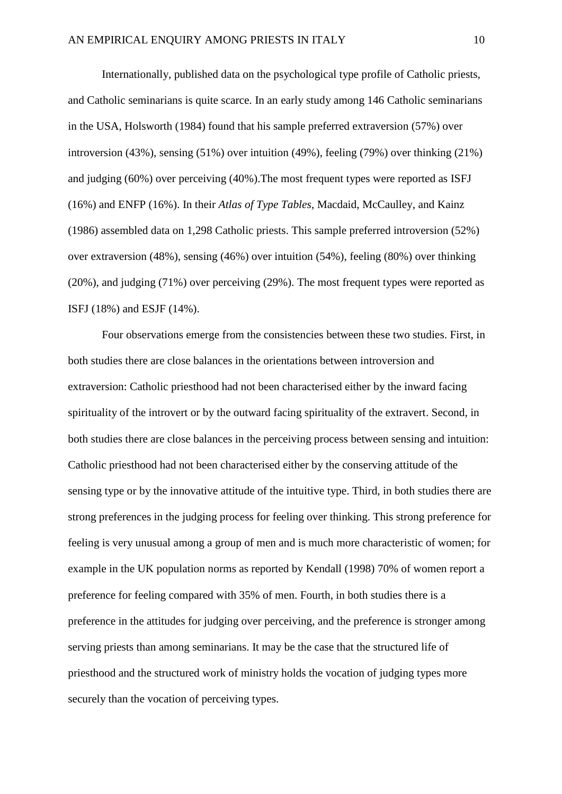Internationally, published data on the psychological type profile of Catholic priests, and Catholic seminarians is quite scarce. In an early study among 146 Catholic seminarians in the USA, Holsworth (1984) found that his sample preferred extraversion (57%) over introversion (43%), sensing (51%) over intuition (49%), feeling (79%) over thinking (21%) and judging (60%) over perceiving (40%).The most frequent types were reported as ISFJ (16%) and ENFP (16%). In their *Atlas of Type Tables*, Macdaid, McCaulley, and Kainz (1986) assembled data on 1,298 Catholic priests. This sample preferred introversion (52%) over extraversion (48%), sensing (46%) over intuition (54%), feeling (80%) over thinking (20%), and judging (71%) over perceiving (29%). The most frequent types were reported as ISFJ (18%) and ESJF (14%).

Four observations emerge from the consistencies between these two studies. First, in both studies there are close balances in the orientations between introversion and extraversion: Catholic priesthood had not been characterised either by the inward facing spirituality of the introvert or by the outward facing spirituality of the extravert. Second, in both studies there are close balances in the perceiving process between sensing and intuition: Catholic priesthood had not been characterised either by the conserving attitude of the sensing type or by the innovative attitude of the intuitive type. Third, in both studies there are strong preferences in the judging process for feeling over thinking. This strong preference for feeling is very unusual among a group of men and is much more characteristic of women; for example in the UK population norms as reported by Kendall (1998) 70% of women report a preference for feeling compared with 35% of men. Fourth, in both studies there is a preference in the attitudes for judging over perceiving, and the preference is stronger among serving priests than among seminarians. It may be the case that the structured life of priesthood and the structured work of ministry holds the vocation of judging types more securely than the vocation of perceiving types.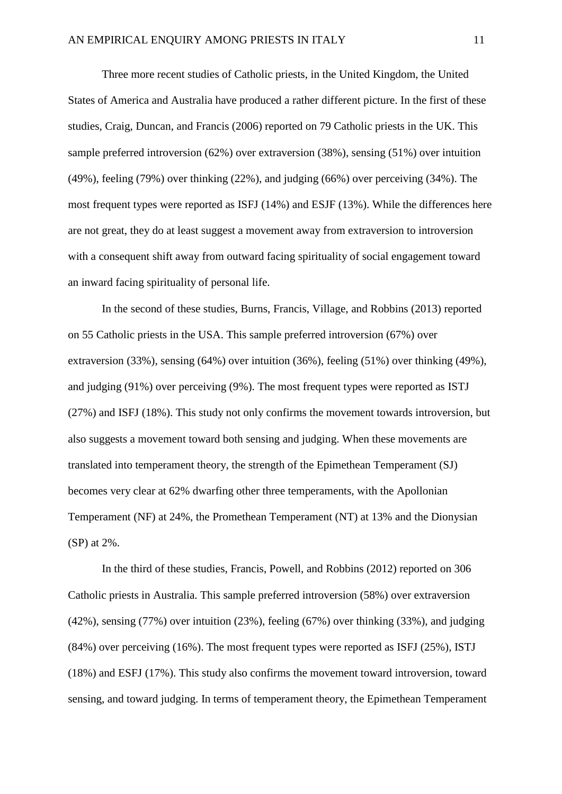Three more recent studies of Catholic priests, in the United Kingdom, the United States of America and Australia have produced a rather different picture. In the first of these studies, Craig, Duncan, and Francis (2006) reported on 79 Catholic priests in the UK. This sample preferred introversion (62%) over extraversion (38%), sensing (51%) over intuition (49%), feeling (79%) over thinking (22%), and judging (66%) over perceiving (34%). The most frequent types were reported as ISFJ (14%) and ESJF (13%). While the differences here are not great, they do at least suggest a movement away from extraversion to introversion with a consequent shift away from outward facing spirituality of social engagement toward an inward facing spirituality of personal life.

In the second of these studies, Burns, Francis, Village, and Robbins (2013) reported on 55 Catholic priests in the USA. This sample preferred introversion (67%) over extraversion (33%), sensing (64%) over intuition (36%), feeling (51%) over thinking (49%), and judging (91%) over perceiving (9%). The most frequent types were reported as ISTJ (27%) and ISFJ (18%). This study not only confirms the movement towards introversion, but also suggests a movement toward both sensing and judging. When these movements are translated into temperament theory, the strength of the Epimethean Temperament (SJ) becomes very clear at 62% dwarfing other three temperaments, with the Apollonian Temperament (NF) at 24%, the Promethean Temperament (NT) at 13% and the Dionysian (SP) at 2%.

In the third of these studies, Francis, Powell, and Robbins (2012) reported on 306 Catholic priests in Australia. This sample preferred introversion (58%) over extraversion (42%), sensing (77%) over intuition (23%), feeling (67%) over thinking (33%), and judging (84%) over perceiving (16%). The most frequent types were reported as ISFJ (25%), ISTJ (18%) and ESFJ (17%). This study also confirms the movement toward introversion, toward sensing, and toward judging. In terms of temperament theory, the Epimethean Temperament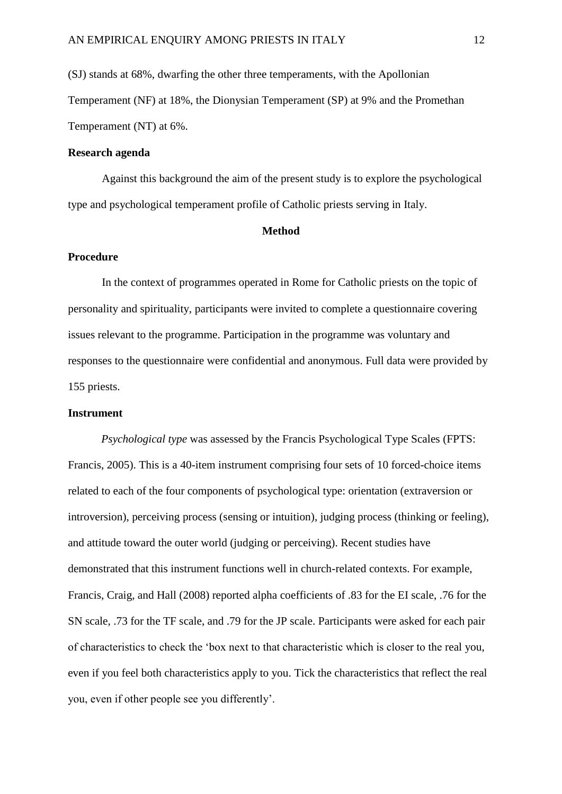(SJ) stands at 68%, dwarfing the other three temperaments, with the Apollonian Temperament (NF) at 18%, the Dionysian Temperament (SP) at 9% and the Promethan Temperament (NT) at 6%.

# **Research agenda**

Against this background the aim of the present study is to explore the psychological type and psychological temperament profile of Catholic priests serving in Italy.

## **Method**

## **Procedure**

In the context of programmes operated in Rome for Catholic priests on the topic of personality and spirituality, participants were invited to complete a questionnaire covering issues relevant to the programme. Participation in the programme was voluntary and responses to the questionnaire were confidential and anonymous. Full data were provided by 155 priests.

## **Instrument**

*Psychological type* was assessed by the Francis Psychological Type Scales (FPTS: Francis, 2005). This is a 40-item instrument comprising four sets of 10 forced-choice items related to each of the four components of psychological type: orientation (extraversion or introversion), perceiving process (sensing or intuition), judging process (thinking or feeling), and attitude toward the outer world (judging or perceiving). Recent studies have demonstrated that this instrument functions well in church-related contexts. For example, Francis, Craig, and Hall (2008) reported alpha coefficients of .83 for the EI scale, .76 for the SN scale, .73 for the TF scale, and .79 for the JP scale. Participants were asked for each pair of characteristics to check the 'box next to that characteristic which is closer to the real you, even if you feel both characteristics apply to you. Tick the characteristics that reflect the real you, even if other people see you differently'.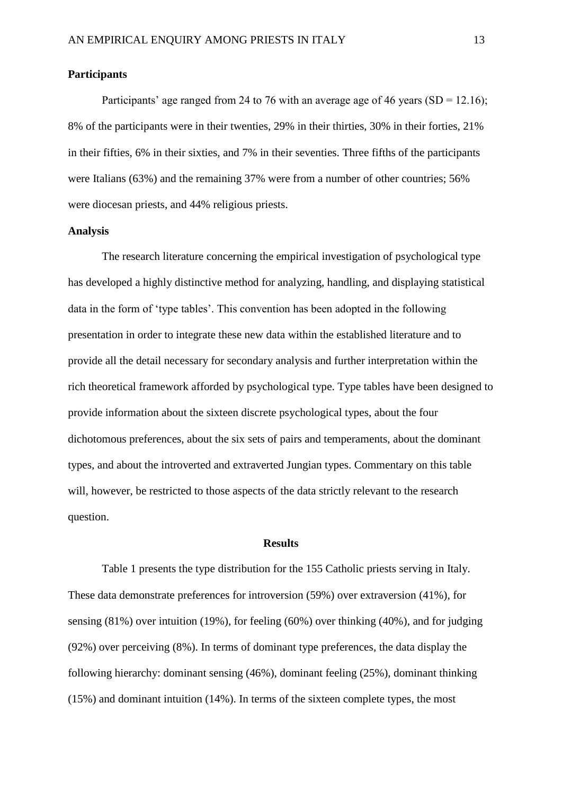## **Participants**

Participants' age ranged from 24 to 76 with an average age of 46 years  $(SD = 12.16)$ ; 8% of the participants were in their twenties, 29% in their thirties, 30% in their forties, 21% in their fifties, 6% in their sixties, and 7% in their seventies. Three fifths of the participants were Italians (63%) and the remaining 37% were from a number of other countries; 56% were diocesan priests, and 44% religious priests.

## **Analysis**

The research literature concerning the empirical investigation of psychological type has developed a highly distinctive method for analyzing, handling, and displaying statistical data in the form of 'type tables'. This convention has been adopted in the following presentation in order to integrate these new data within the established literature and to provide all the detail necessary for secondary analysis and further interpretation within the rich theoretical framework afforded by psychological type. Type tables have been designed to provide information about the sixteen discrete psychological types, about the four dichotomous preferences, about the six sets of pairs and temperaments, about the dominant types, and about the introverted and extraverted Jungian types. Commentary on this table will, however, be restricted to those aspects of the data strictly relevant to the research question.

## **Results**

Table 1 presents the type distribution for the 155 Catholic priests serving in Italy. These data demonstrate preferences for introversion (59%) over extraversion (41%), for sensing (81%) over intuition (19%), for feeling (60%) over thinking (40%), and for judging (92%) over perceiving (8%). In terms of dominant type preferences, the data display the following hierarchy: dominant sensing (46%), dominant feeling (25%), dominant thinking (15%) and dominant intuition (14%). In terms of the sixteen complete types, the most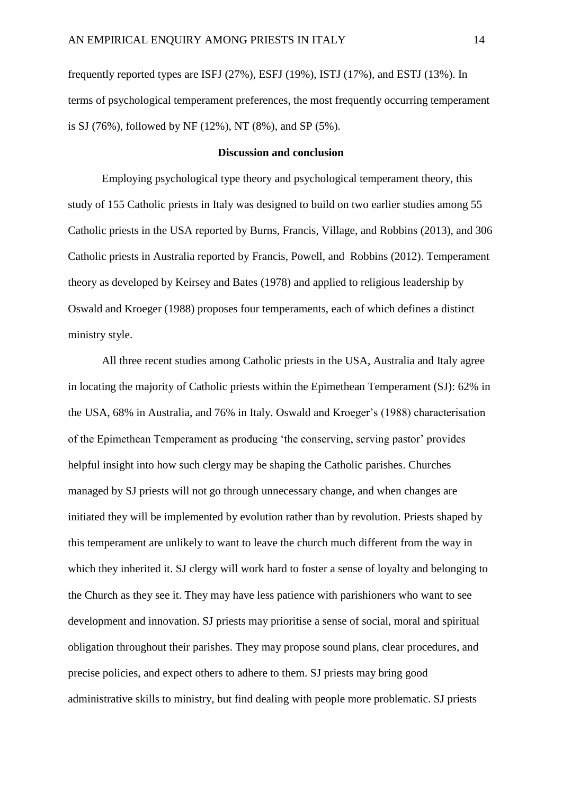frequently reported types are ISFJ (27%), ESFJ (19%), ISTJ (17%), and ESTJ (13%). In terms of psychological temperament preferences, the most frequently occurring temperament is SJ (76%), followed by NF (12%), NT (8%), and SP (5%).

# **Discussion and conclusion**

Employing psychological type theory and psychological temperament theory, this study of 155 Catholic priests in Italy was designed to build on two earlier studies among 55 Catholic priests in the USA reported by Burns, Francis, Village, and Robbins (2013), and 306 Catholic priests in Australia reported by Francis, Powell, and Robbins (2012). Temperament theory as developed by Keirsey and Bates (1978) and applied to religious leadership by Oswald and Kroeger (1988) proposes four temperaments, each of which defines a distinct ministry style.

All three recent studies among Catholic priests in the USA, Australia and Italy agree in locating the majority of Catholic priests within the Epimethean Temperament (SJ): 62% in the USA, 68% in Australia, and 76% in Italy. Oswald and Kroeger's (1988) characterisation of the Epimethean Temperament as producing 'the conserving, serving pastor' provides helpful insight into how such clergy may be shaping the Catholic parishes. Churches managed by SJ priests will not go through unnecessary change, and when changes are initiated they will be implemented by evolution rather than by revolution. Priests shaped by this temperament are unlikely to want to leave the church much different from the way in which they inherited it. SJ clergy will work hard to foster a sense of loyalty and belonging to the Church as they see it. They may have less patience with parishioners who want to see development and innovation. SJ priests may prioritise a sense of social, moral and spiritual obligation throughout their parishes. They may propose sound plans, clear procedures, and precise policies, and expect others to adhere to them. SJ priests may bring good administrative skills to ministry, but find dealing with people more problematic. SJ priests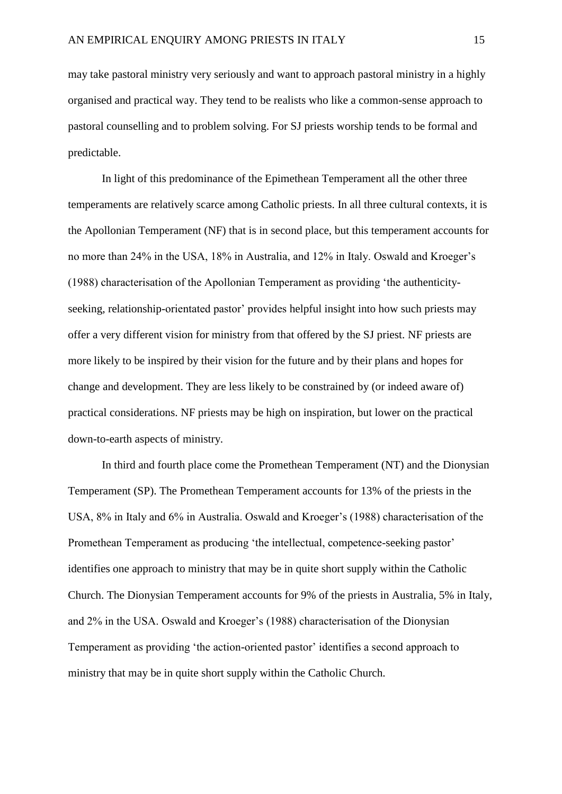may take pastoral ministry very seriously and want to approach pastoral ministry in a highly organised and practical way. They tend to be realists who like a common-sense approach to pastoral counselling and to problem solving. For SJ priests worship tends to be formal and predictable.

In light of this predominance of the Epimethean Temperament all the other three temperaments are relatively scarce among Catholic priests. In all three cultural contexts, it is the Apollonian Temperament (NF) that is in second place, but this temperament accounts for no more than 24% in the USA, 18% in Australia, and 12% in Italy. Oswald and Kroeger's (1988) characterisation of the Apollonian Temperament as providing 'the authenticityseeking, relationship-orientated pastor' provides helpful insight into how such priests may offer a very different vision for ministry from that offered by the SJ priest. NF priests are more likely to be inspired by their vision for the future and by their plans and hopes for change and development. They are less likely to be constrained by (or indeed aware of) practical considerations. NF priests may be high on inspiration, but lower on the practical down-to-earth aspects of ministry.

In third and fourth place come the Promethean Temperament (NT) and the Dionysian Temperament (SP). The Promethean Temperament accounts for 13% of the priests in the USA, 8% in Italy and 6% in Australia. Oswald and Kroeger's (1988) characterisation of the Promethean Temperament as producing 'the intellectual, competence-seeking pastor' identifies one approach to ministry that may be in quite short supply within the Catholic Church. The Dionysian Temperament accounts for 9% of the priests in Australia, 5% in Italy, and 2% in the USA. Oswald and Kroeger's (1988) characterisation of the Dionysian Temperament as providing 'the action-oriented pastor' identifies a second approach to ministry that may be in quite short supply within the Catholic Church.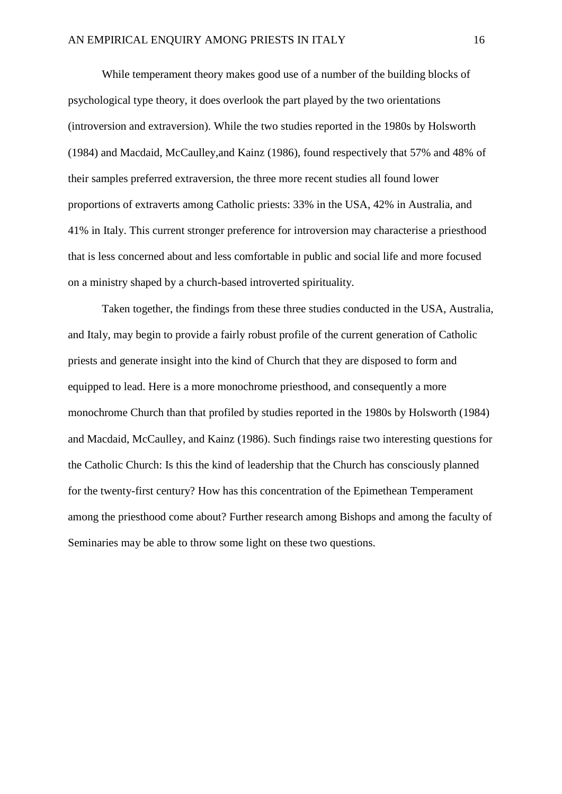While temperament theory makes good use of a number of the building blocks of psychological type theory, it does overlook the part played by the two orientations (introversion and extraversion). While the two studies reported in the 1980s by Holsworth (1984) and Macdaid, McCaulley,and Kainz (1986), found respectively that 57% and 48% of their samples preferred extraversion, the three more recent studies all found lower proportions of extraverts among Catholic priests: 33% in the USA, 42% in Australia, and 41% in Italy. This current stronger preference for introversion may characterise a priesthood that is less concerned about and less comfortable in public and social life and more focused on a ministry shaped by a church-based introverted spirituality.

Taken together, the findings from these three studies conducted in the USA, Australia, and Italy, may begin to provide a fairly robust profile of the current generation of Catholic priests and generate insight into the kind of Church that they are disposed to form and equipped to lead. Here is a more monochrome priesthood, and consequently a more monochrome Church than that profiled by studies reported in the 1980s by Holsworth (1984) and Macdaid, McCaulley, and Kainz (1986). Such findings raise two interesting questions for the Catholic Church: Is this the kind of leadership that the Church has consciously planned for the twenty-first century? How has this concentration of the Epimethean Temperament among the priesthood come about? Further research among Bishops and among the faculty of Seminaries may be able to throw some light on these two questions.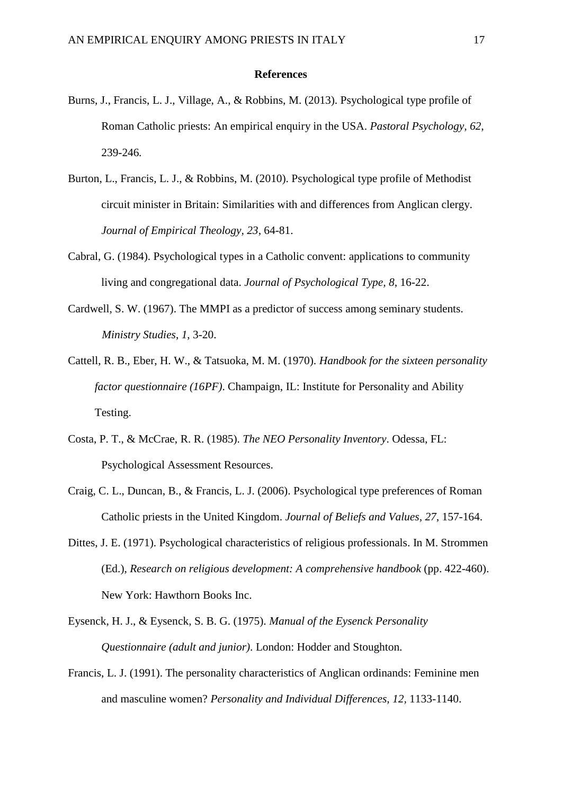### **References**

- Burns, J., Francis, L. J., Village, A., & Robbins, M. (2013). Psychological type profile of Roman Catholic priests: An empirical enquiry in the USA. *Pastoral Psychology, 62*, 239-246*.*
- Burton, L., Francis, L. J., & Robbins, M. (2010). Psychological type profile of Methodist circuit minister in Britain: Similarities with and differences from Anglican clergy. *Journal of Empirical Theology, 23*, 64-81.
- Cabral, G. (1984). Psychological types in a Catholic convent: applications to community living and congregational data. *Journal of Psychological Type, 8*, 16-22.
- Cardwell, S. W. (1967). The MMPI as a predictor of success among seminary students. *Ministry Studies*, *1*, 3-20.
- Cattell, R. B., Eber, H. W., & Tatsuoka, M. M. (1970). *Handbook for the sixteen personality factor questionnaire (16PF)*. Champaign, IL: Institute for Personality and Ability Testing.
- Costa, P. T., & McCrae, R. R. (1985). *The NEO Personality Inventory*. Odessa, FL: Psychological Assessment Resources.
- Craig, C. L., Duncan, B., & Francis, L. J. (2006). Psychological type preferences of Roman Catholic priests in the United Kingdom. *Journal of Beliefs and Values, 27*, 157-164.
- Dittes, J. E. (1971). Psychological characteristics of religious professionals. In M. Strommen (Ed.), *Research on religious development: A comprehensive handbook* (pp. 422-460). New York: Hawthorn Books Inc.
- Eysenck, H. J., & Eysenck, S. B. G. (1975). *Manual of the Eysenck Personality Questionnaire (adult and junior)*. London: Hodder and Stoughton.
- Francis, L. J. (1991). The personality characteristics of Anglican ordinands: Feminine men and masculine women? *Personality and Individual Differences*, *12,* 1133-1140.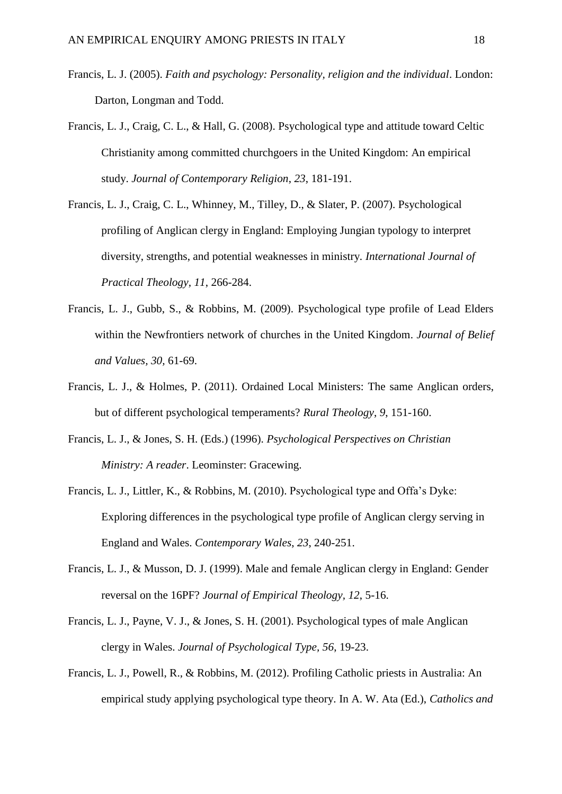- Francis, L. J. (2005). *Faith and psychology: Personality, religion and the individual*. London: Darton, Longman and Todd.
- Francis, L. J., Craig, C. L., & Hall, G. (2008). Psychological type and attitude toward Celtic Christianity among committed churchgoers in the United Kingdom: An empirical study. *Journal of Contemporary Religion*, *23*, 181-191.
- Francis, L. J., Craig, C. L., Whinney, M., Tilley, D., & Slater, P. (2007). Psychological profiling of Anglican clergy in England: Employing Jungian typology to interpret diversity, strengths, and potential weaknesses in ministry. *International Journal of Practical Theology, 11*, 266-284.
- Francis, L. J., Gubb, S., & Robbins, M. (2009). Psychological type profile of Lead Elders within the Newfrontiers network of churches in the United Kingdom. *Journal of Belief and Values, 30,* 61-69.
- Francis, L. J., & Holmes, P. (2011). Ordained Local Ministers: The same Anglican orders, but of different psychological temperaments? *Rural Theology*, *9*, 151-160.
- Francis, L. J., & Jones, S. H. (Eds.) (1996). *Psychological Perspectives on Christian Ministry: A reader*. Leominster: Gracewing.
- Francis, L. J., Littler, K., & Robbins, M. (2010). Psychological type and Offa's Dyke: Exploring differences in the psychological type profile of Anglican clergy serving in England and Wales. *Contemporary Wales*, *23*, 240-251.
- Francis, L. J., & Musson, D. J. (1999). Male and female Anglican clergy in England: Gender reversal on the 16PF? *Journal of Empirical Theology, 12*, 5-16.
- Francis, L. J., Payne, V. J., & Jones, S. H. (2001). Psychological types of male Anglican clergy in Wales. *Journal of Psychological Type, 56*, 19-23.
- Francis, L. J., Powell, R., & Robbins, M. (2012). Profiling Catholic priests in Australia: An empirical study applying psychological type theory. In A. W. Ata (Ed.), *Catholics and*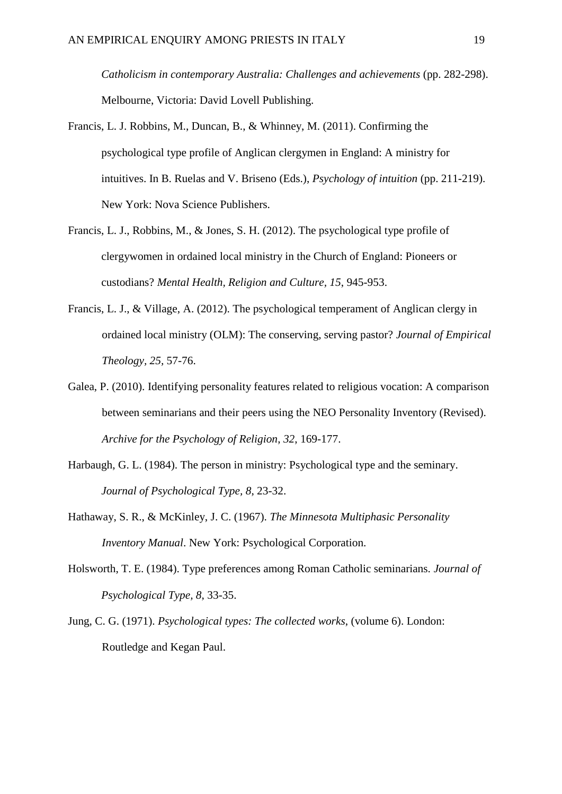*Catholicism in contemporary Australia: Challenges and achievements* (pp. 282-298). Melbourne, Victoria: David Lovell Publishing.

- Francis, L. J. Robbins, M., Duncan, B., & Whinney, M. (2011). Confirming the psychological type profile of Anglican clergymen in England: A ministry for intuitives. In B. Ruelas and V. Briseno (Eds.), *Psychology of intuition* (pp. 211-219). New York: Nova Science Publishers.
- Francis, L. J., Robbins, M., & Jones, S. H. (2012). The psychological type profile of clergywomen in ordained local ministry in the Church of England: Pioneers or custodians? *Mental Health, Religion and Culture, 15*, 945-953.
- Francis, L. J., & Village, A. (2012). The psychological temperament of Anglican clergy in ordained local ministry (OLM): The conserving, serving pastor? *Journal of Empirical Theology, 25,* 57-76.
- Galea, P. (2010). Identifying personality features related to religious vocation: A comparison between seminarians and their peers using the NEO Personality Inventory (Revised). *Archive for the Psychology of Religion*, *32*, 169-177.
- Harbaugh, G. L. (1984). The person in ministry: Psychological type and the seminary. *Journal of Psychological Type, 8*, 23-32.
- Hathaway, S. R., & McKinley, J. C. (1967). *The Minnesota Multiphasic Personality Inventory Manual*. New York: Psychological Corporation.
- Holsworth, T. E. (1984). Type preferences among Roman Catholic seminarians. *Journal of Psychological Type, 8*, 33-35.
- Jung, C. G. (1971). *Psychological types: The collected works*, (volume 6). London: Routledge and Kegan Paul.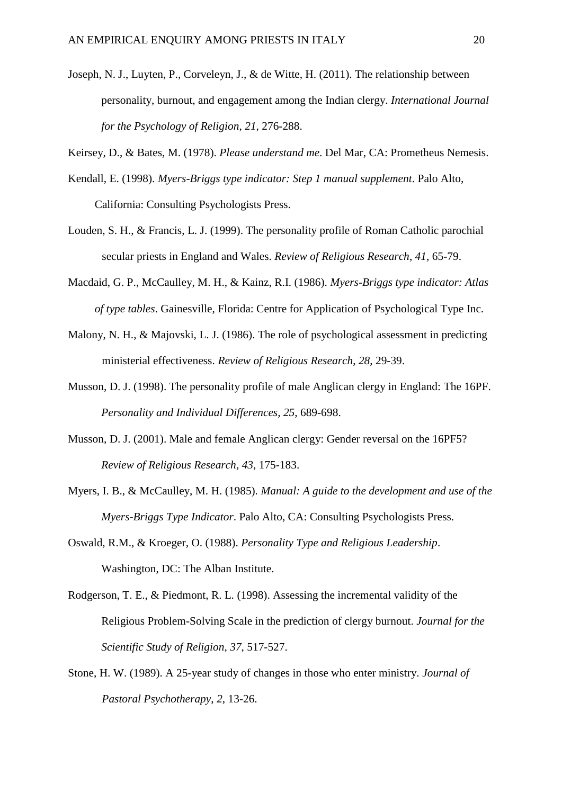- Joseph, N. J., Luyten, P., Corveleyn, J., & de Witte, H. (2011). The relationship between personality, burnout, and engagement among the Indian clergy. *International Journal for the Psychology of Religion*, *21,* 276-288.
- Keirsey, D., & Bates, M. (1978). *Please understand me*. Del Mar, CA: Prometheus Nemesis.
- Kendall, E. (1998). *Myers-Briggs type indicator: Step 1 manual supplement*. Palo Alto, California: Consulting Psychologists Press.
- Louden, S. H., & Francis, L. J. (1999). The personality profile of Roman Catholic parochial secular priests in England and Wales. *Review of Religious Research*, *41*, 65-79.
- Macdaid, G. P., McCaulley, M. H., & Kainz, R.I. (1986). *Myers-Briggs type indicator: Atlas of type tables*. Gainesville, Florida: Centre for Application of Psychological Type Inc.
- Malony, N. H., & Majovski, L. J. (1986). The role of psychological assessment in predicting ministerial effectiveness. *Review of Religious Research*, *28*, 29-39.
- Musson, D. J. (1998). The personality profile of male Anglican clergy in England: The 16PF. *Personality and Individual Differences, 25*, 689-698.
- Musson, D. J. (2001). Male and female Anglican clergy: Gender reversal on the 16PF5? *Review of Religious Research, 43*, 175-183.
- Myers, I. B., & McCaulley, M. H. (1985). *Manual: A guide to the development and use of the Myers-Briggs Type Indicator*. Palo Alto, CA: Consulting Psychologists Press.
- Oswald, R.M., & Kroeger, O. (1988). *Personality Type and Religious Leadership*. Washington, DC: The Alban Institute.
- Rodgerson, T. E., & Piedmont, R. L. (1998). Assessing the incremental validity of the Religious Problem-Solving Scale in the prediction of clergy burnout. *Journal for the Scientific Study of Religion*, *37*, 517-527.
- Stone, H. W. (1989). A 25-year study of changes in those who enter ministry. *Journal of Pastoral Psychotherapy*, *2*, 13-26.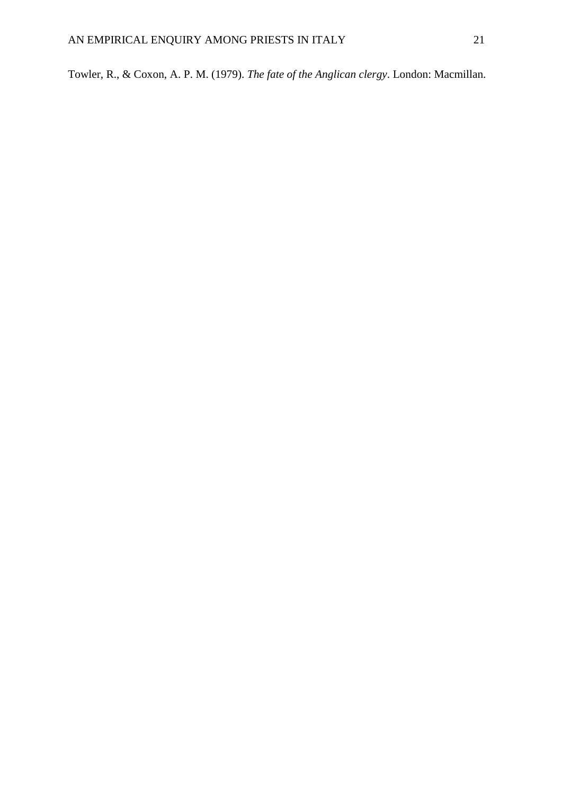Towler, R., & Coxon, A. P. M. (1979). *The fate of the Anglican clergy*. London: Macmillan.